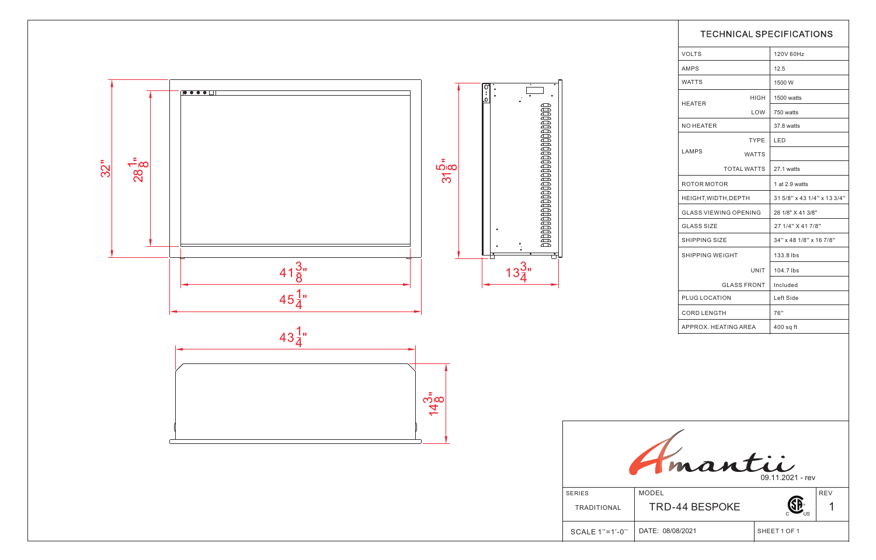

TRADITIONAL MODEL TRD-4  $SCALE 1" = 1'-0"$  DATE: 08/08



| <b>TECHNICAL SPECIFICATIONS</b>          |              |                             |  |  |
|------------------------------------------|--------------|-----------------------------|--|--|
| <b>VOLTS</b>                             |              | 120V 60Hz                   |  |  |
| <b>AMPS</b>                              |              | 12.5                        |  |  |
| <b>WATTS</b>                             |              | 1500 W                      |  |  |
|                                          | <b>HIGH</b>  | 1500 watts                  |  |  |
| <b>HEATER</b>                            | LOW          | 750 watts                   |  |  |
| <b>NO HEATER</b>                         |              | 37.8 watts                  |  |  |
|                                          | <b>TYPE</b>  | LED                         |  |  |
| <b>LAMPS</b>                             | <b>WATTS</b> |                             |  |  |
| <b>TOTAL WATTS</b>                       |              | 27.1 watts                  |  |  |
| ROTOR MOTOR                              |              | 1 at 2.9 watts              |  |  |
| HEIGHT, WIDTH, DEPTH                     |              | 31 5/8" x 43 1/4" x 13 3/4" |  |  |
| <b>GLASS VIEWING OPENING</b>             |              | 28 1/8" X 41 3/8"           |  |  |
| <b>GLASS SIZE</b>                        |              | 27 1/4" X 41 7/8"           |  |  |
| <b>SHIPPING SIZE</b>                     |              | 34" x 48 1/8" x 16 7/8"     |  |  |
| <b>SHIPPING WEIGHT</b>                   |              | 133.8 lbs                   |  |  |
|                                          | UNIT         | 104.7 lbs                   |  |  |
| <b>GLASS FRONT</b>                       |              | Included                    |  |  |
| PLUG LOCATION                            |              | Left Side                   |  |  |
| <b>CORD LENGTH</b>                       |              | 76"                         |  |  |
| APPROX. HEATING AREA                     |              | $400$ sq ft                 |  |  |
|                                          |              |                             |  |  |
| $\overrightarrow{a}$<br>09.11.2021 - rev |              |                             |  |  |
| <b>44 BESPOKE</b>                        |              | <b>REV</b>                  |  |  |
| 3/2021                                   |              | SHEET 1 OF 1                |  |  |